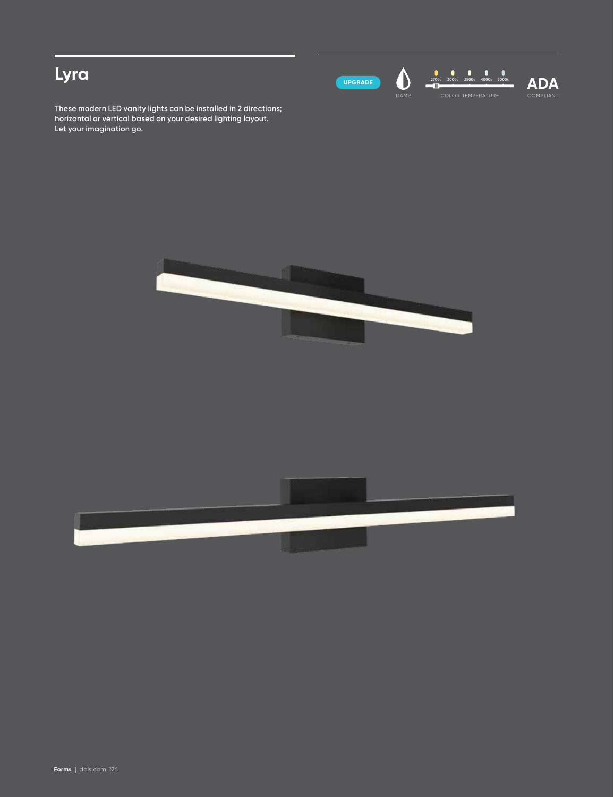# **Lyra**



DAMP

 $\clubsuit$ 



compliant **ADA**

**These modern LED vanity lights can be installed in 2 directions; horizontal or vertical based on your desired lighting layout. Let your imagination go.**